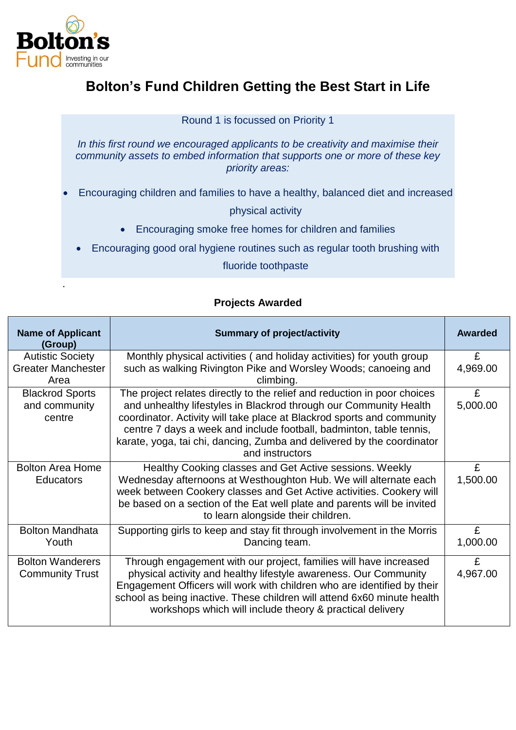

.

## **Bolton's Fund Children Getting the Best Start in Life**

Round 1 is focussed on Priority 1

*In this first round we encouraged applicants to be creativity and maximise their community assets to embed information that supports one or more of these key priority areas:*

Encouraging children and families to have a healthy, balanced diet and increased

physical activity

- Encouraging smoke free homes for children and families
- Encouraging good oral hygiene routines such as regular tooth brushing with

fluoride toothpaste

## **Projects Awarded**

| <b>Name of Applicant</b><br>(Group)                          | <b>Summary of project/activity</b>                                                                                                                                                                                                                                                                                                                                                          | Awarded       |
|--------------------------------------------------------------|---------------------------------------------------------------------------------------------------------------------------------------------------------------------------------------------------------------------------------------------------------------------------------------------------------------------------------------------------------------------------------------------|---------------|
| <b>Autistic Society</b><br><b>Greater Manchester</b><br>Area | Monthly physical activities (and holiday activities) for youth group<br>such as walking Rivington Pike and Worsley Woods; canoeing and<br>climbing.                                                                                                                                                                                                                                         | £<br>4,969.00 |
| <b>Blackrod Sports</b><br>and community<br>centre            | The project relates directly to the relief and reduction in poor choices<br>and unhealthy lifestyles in Blackrod through our Community Health<br>coordinator. Activity will take place at Blackrod sports and community<br>centre 7 days a week and include football, badminton, table tennis,<br>karate, yoga, tai chi, dancing, Zumba and delivered by the coordinator<br>and instructors | £<br>5,000.00 |
| <b>Bolton Area Home</b><br><b>Educators</b>                  | Healthy Cooking classes and Get Active sessions. Weekly<br>Wednesday afternoons at Westhoughton Hub. We will alternate each<br>week between Cookery classes and Get Active activities. Cookery will<br>be based on a section of the Eat well plate and parents will be invited<br>to learn alongside their children.                                                                        | £<br>1,500.00 |
| <b>Bolton Mandhata</b><br>Youth                              | Supporting girls to keep and stay fit through involvement in the Morris<br>Dancing team.                                                                                                                                                                                                                                                                                                    | £<br>1,000.00 |
| <b>Bolton Wanderers</b><br><b>Community Trust</b>            | Through engagement with our project, families will have increased<br>physical activity and healthy lifestyle awareness. Our Community<br>Engagement Officers will work with children who are identified by their<br>school as being inactive. These children will attend 6x60 minute health<br>workshops which will include theory & practical delivery                                     | £<br>4,967.00 |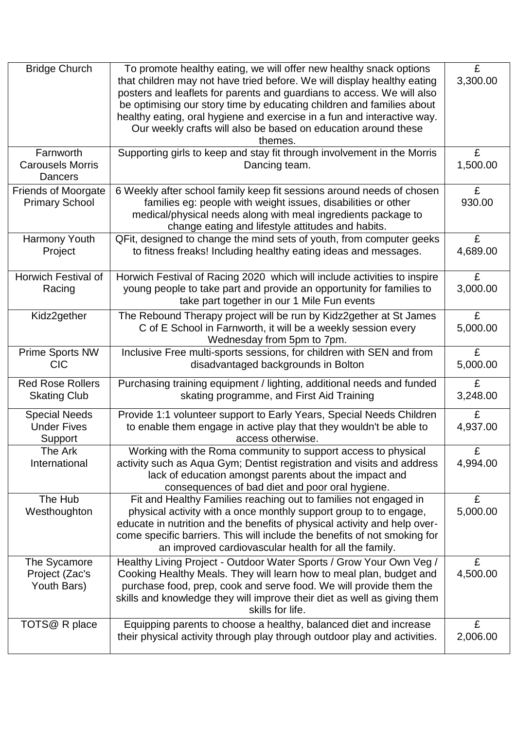| <b>Bridge Church</b>       | To promote healthy eating, we will offer new healthy snack options        | £        |
|----------------------------|---------------------------------------------------------------------------|----------|
|                            | that children may not have tried before. We will display healthy eating   | 3,300.00 |
|                            | posters and leaflets for parents and guardians to access. We will also    |          |
|                            | be optimising our story time by educating children and families about     |          |
|                            | healthy eating, oral hygiene and exercise in a fun and interactive way.   |          |
|                            | Our weekly crafts will also be based on education around these            |          |
|                            | themes.                                                                   |          |
| Farnworth                  | Supporting girls to keep and stay fit through involvement in the Morris   | £        |
| <b>Carousels Morris</b>    | Dancing team.                                                             | 1,500.00 |
| Dancers                    |                                                                           |          |
| <b>Friends of Moorgate</b> | 6 Weekly after school family keep fit sessions around needs of chosen     | £        |
| <b>Primary School</b>      | families eg: people with weight issues, disabilities or other             | 930.00   |
|                            | medical/physical needs along with meal ingredients package to             |          |
|                            | change eating and lifestyle attitudes and habits.                         |          |
| Harmony Youth              | QFit, designed to change the mind sets of youth, from computer geeks      | £        |
| Project                    | to fitness freaks! Including healthy eating ideas and messages.           | 4,689.00 |
|                            |                                                                           |          |
|                            |                                                                           |          |
| <b>Horwich Festival of</b> | Horwich Festival of Racing 2020 which will include activities to inspire  | £        |
| Racing                     | young people to take part and provide an opportunity for families to      | 3,000.00 |
|                            | take part together in our 1 Mile Fun events                               |          |
| Kidz2gether                | The Rebound Therapy project will be run by Kidz2gether at St James        | £        |
|                            | C of E School in Farnworth, it will be a weekly session every             | 5,000.00 |
|                            | Wednesday from 5pm to 7pm.                                                |          |
| Prime Sports NW            | Inclusive Free multi-sports sessions, for children with SEN and from      | £        |
| <b>CIC</b>                 | disadvantaged backgrounds in Bolton                                       | 5,000.00 |
|                            |                                                                           |          |
| <b>Red Rose Rollers</b>    | Purchasing training equipment / lighting, additional needs and funded     | £        |
| <b>Skating Club</b>        | skating programme, and First Aid Training                                 | 3,248.00 |
| <b>Special Needs</b>       | Provide 1:1 volunteer support to Early Years, Special Needs Children      | £        |
| <b>Under Fives</b>         | to enable them engage in active play that they wouldn't be able to        | 4,937.00 |
| <b>Support</b>             | access otherwise.                                                         |          |
| The Ark                    | Working with the Roma community to support access to physical             | £        |
| International              | activity such as Aqua Gym; Dentist registration and visits and address    | 4,994.00 |
|                            | lack of education amongst parents about the impact and                    |          |
|                            | consequences of bad diet and poor oral hygiene.                           |          |
| The Hub                    | Fit and Healthy Families reaching out to families not engaged in          | £        |
| Westhoughton               |                                                                           | 5,000.00 |
|                            | physical activity with a once monthly support group to to engage,         |          |
|                            | educate in nutrition and the benefits of physical activity and help over- |          |
|                            | come specific barriers. This will include the benefits of not smoking for |          |
|                            | an improved cardiovascular health for all the family.                     |          |
| The Sycamore               | Healthy Living Project - Outdoor Water Sports / Grow Your Own Veg /       | £        |
| Project (Zac's             | Cooking Healthy Meals. They will learn how to meal plan, budget and       | 4,500.00 |
| Youth Bars)                | purchase food, prep, cook and serve food. We will provide them the        |          |
|                            | skills and knowledge they will improve their diet as well as giving them  |          |
|                            | skills for life.                                                          |          |
| TOTS@ R place              | Equipping parents to choose a healthy, balanced diet and increase         | £        |
|                            | their physical activity through play through outdoor play and activities. | 2,006.00 |
|                            |                                                                           |          |